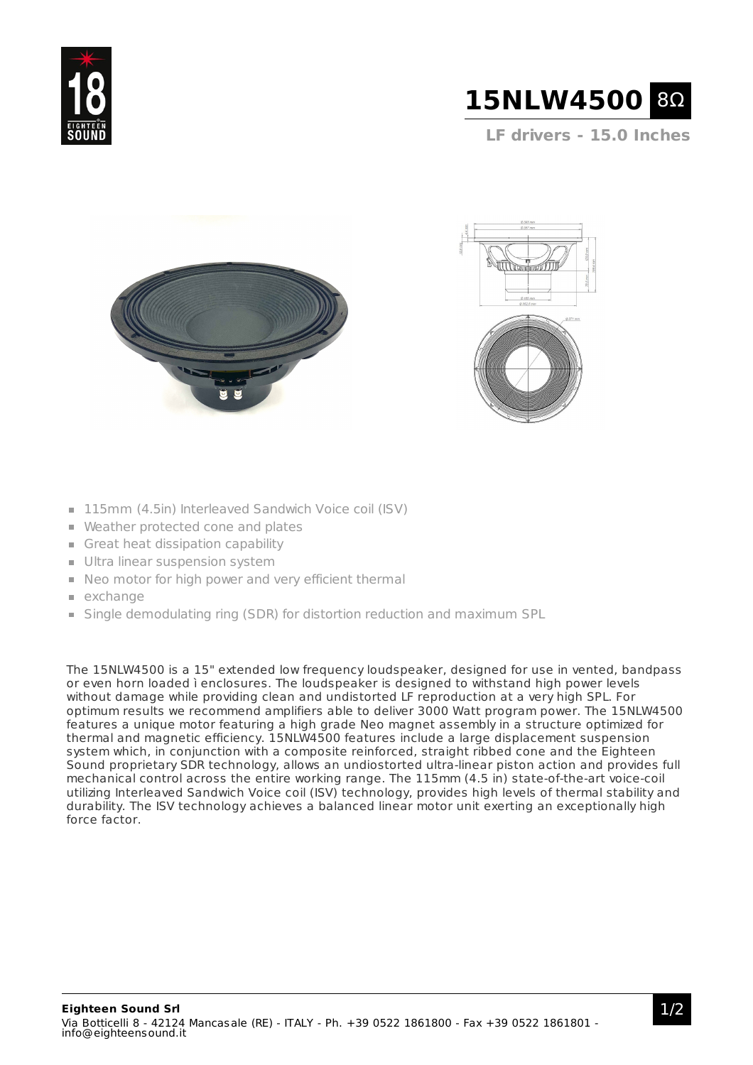



**LF drivers - 15.0 Inches**





- 115mm (4.5in) Interleaved Sandwich Voice coil (ISV)
- Weather protected cone and plates
- Great heat dissipation capability
- **Ultra linear suspension system**
- Neo motor for high power and very efficient thermal
- $exchange$
- Single demodulating ring (SDR) for distortion reduction and maximum SPL

The 15NLW4500 is a 15" extended low frequency loudspeaker, designed for use in vented, bandpass or even horn loaded ì enclosures. The loudspeaker is designed to withstand high power levels without damage while providing clean and undistorted LF reproduction at a very high SPL. For optimum results we recommend amplifiers able to deliver 3000 Watt program power. The 15NLW4500 features a unique motor featuring a high grade Neo magnet assembly in a structure optimized for thermal and magnetic efficiency. 15NLW4500 features include a large displacement suspension system which, in conjunction with a composite reinforced, straight ribbed cone and the Eighteen Sound proprietary SDR technology, allows an undiostorted ultra-linear piston action and provides full mechanical control across the entire working range. The 115mm (4.5 in) state-of-the-art voice-coil utilizing Interleaved Sandwich Voice coil (ISV) technology, provides high levels of thermal stability and durability. The ISV technology achieves a balanced linear motor unit exerting an exceptionally high force factor.